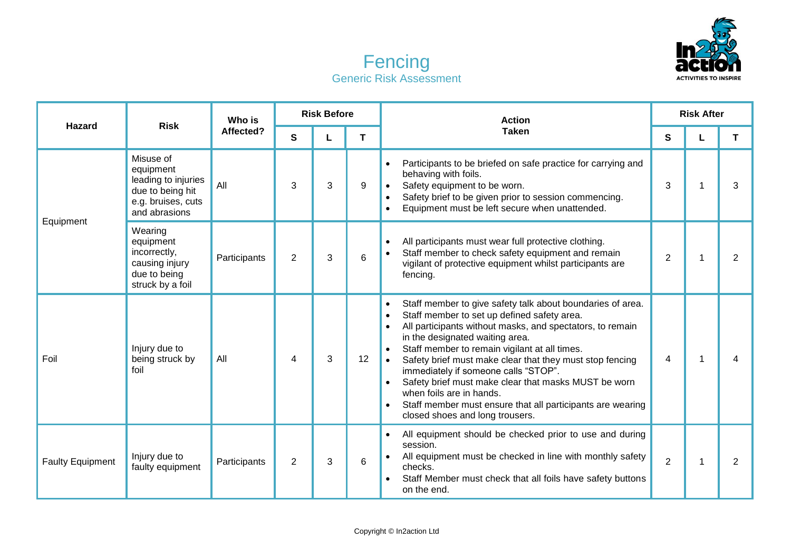



| <b>Hazard</b>           | <b>Risk</b>                                                                                              | Who is<br>Affected? | <b>Risk Before</b> |   |    | <b>Action</b>                                                                                                                                                                                                                                                                                                                                                                                                                                                                                                                                                                                           | <b>Risk After</b> |   |                |
|-------------------------|----------------------------------------------------------------------------------------------------------|---------------------|--------------------|---|----|---------------------------------------------------------------------------------------------------------------------------------------------------------------------------------------------------------------------------------------------------------------------------------------------------------------------------------------------------------------------------------------------------------------------------------------------------------------------------------------------------------------------------------------------------------------------------------------------------------|-------------------|---|----------------|
|                         |                                                                                                          |                     | S                  | L | T. | <b>Taken</b>                                                                                                                                                                                                                                                                                                                                                                                                                                                                                                                                                                                            | S                 | L | T              |
| Equipment               | Misuse of<br>equipment<br>leading to injuries<br>due to being hit<br>e.g. bruises, cuts<br>and abrasions | All                 | 3                  | 3 | 9  | Participants to be briefed on safe practice for carrying and<br>$\bullet$<br>behaving with foils.<br>Safety equipment to be worn.<br>Safety brief to be given prior to session commencing.<br>Equipment must be left secure when unattended.                                                                                                                                                                                                                                                                                                                                                            | 3                 |   | 3              |
|                         | Wearing<br>equipment<br>incorrectly,<br>causing injury<br>due to being<br>struck by a foil               | Participants        | 2                  | 3 | 6  | All participants must wear full protective clothing.<br>$\bullet$<br>Staff member to check safety equipment and remain<br>$\bullet$<br>vigilant of protective equipment whilst participants are<br>fencing.                                                                                                                                                                                                                                                                                                                                                                                             | $\overline{2}$    |   | 2              |
| Foil                    | Injury due to<br>being struck by<br>foil                                                                 | All                 | 4                  | 3 | 12 | Staff member to give safety talk about boundaries of area.<br>$\bullet$<br>Staff member to set up defined safety area.<br>$\bullet$<br>All participants without masks, and spectators, to remain<br>$\bullet$<br>in the designated waiting area.<br>Staff member to remain vigilant at all times.<br>$\bullet$<br>Safety brief must make clear that they must stop fencing<br>immediately if someone calls "STOP".<br>Safety brief must make clear that masks MUST be worn<br>when foils are in hands.<br>Staff member must ensure that all participants are wearing<br>closed shoes and long trousers. | 4                 |   | 4              |
| <b>Faulty Equipment</b> | Injury due to<br>faulty equipment                                                                        | Participants        | $\overline{2}$     | 3 | 6  | All equipment should be checked prior to use and during<br>$\bullet$<br>session.<br>All equipment must be checked in line with monthly safety<br>checks.<br>Staff Member must check that all foils have safety buttons<br>on the end.                                                                                                                                                                                                                                                                                                                                                                   | $\overline{2}$    | 1 | $\overline{2}$ |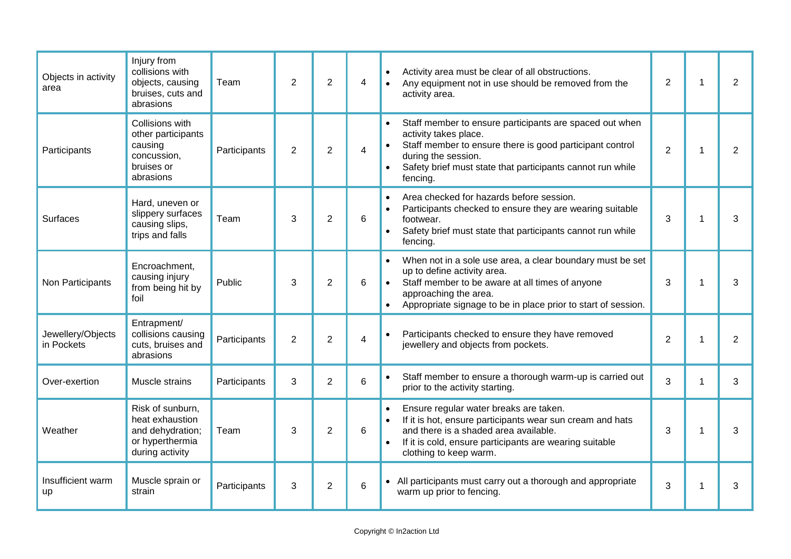| Objects in activity<br>area     | Injury from<br>collisions with<br>objects, causing<br>bruises, cuts and<br>abrasions          | Team         | $\overline{2}$ | $\overline{2}$ | 4 | Activity area must be clear of all obstructions.<br>$\bullet$<br>Any equipment not in use should be removed from the<br>activity area.                                                                                                                          | 2              | $\mathbf{1}$ | $\overline{2}$ |
|---------------------------------|-----------------------------------------------------------------------------------------------|--------------|----------------|----------------|---|-----------------------------------------------------------------------------------------------------------------------------------------------------------------------------------------------------------------------------------------------------------------|----------------|--------------|----------------|
| Participants                    | Collisions with<br>other participants<br>causing<br>concussion,<br>bruises or<br>abrasions    | Participants | $\overline{2}$ | $\overline{2}$ | 4 | Staff member to ensure participants are spaced out when<br>activity takes place.<br>Staff member to ensure there is good participant control<br>during the session.<br>Safety brief must state that participants cannot run while<br>fencing.                   | $\overline{2}$ | $\mathbf 1$  | $\overline{2}$ |
| <b>Surfaces</b>                 | Hard, uneven or<br>slippery surfaces<br>causing slips,<br>trips and falls                     | Team         | 3              | $\overline{2}$ | 6 | Area checked for hazards before session.<br>$\bullet$<br>Participants checked to ensure they are wearing suitable<br>$\bullet$<br>footwear.<br>Safety brief must state that participants cannot run while<br>$\bullet$<br>fencing.                              | 3              | $\mathbf 1$  | 3              |
| Non Participants                | Encroachment,<br>causing injury<br>from being hit by<br>foil                                  | Public       | 3              | $\overline{2}$ | 6 | When not in a sole use area, a clear boundary must be set<br>up to define activity area.<br>Staff member to be aware at all times of anyone<br>$\bullet$<br>approaching the area.<br>Appropriate signage to be in place prior to start of session.<br>$\bullet$ | 3              | 1            | 3              |
| Jewellery/Objects<br>in Pockets | Entrapment/<br>collisions causing<br>cuts, bruises and<br>abrasions                           | Participants | $\overline{2}$ | $\overline{2}$ | 4 | Participants checked to ensure they have removed<br>jewellery and objects from pockets.                                                                                                                                                                         | $\overline{2}$ | $\mathbf 1$  | $\overline{2}$ |
| Over-exertion                   | Muscle strains                                                                                | Participants | 3              | $\overline{2}$ | 6 | Staff member to ensure a thorough warm-up is carried out<br>prior to the activity starting.                                                                                                                                                                     | 3              | $\mathbf 1$  | 3              |
| Weather                         | Risk of sunburn,<br>heat exhaustion<br>and dehydration;<br>or hyperthermia<br>during activity | Team         | 3              | $\overline{2}$ | 6 | Ensure regular water breaks are taken.<br>$\bullet$<br>If it is hot, ensure participants wear sun cream and hats<br>and there is a shaded area available.<br>If it is cold, ensure participants are wearing suitable<br>clothing to keep warm.                  | 3              | 1            | 3              |
| Insufficient warm<br>up         | Muscle sprain or<br>strain                                                                    | Participants | 3              | $\overline{2}$ | 6 | • All participants must carry out a thorough and appropriate<br>warm up prior to fencing.                                                                                                                                                                       | 3              | 1            | 3              |